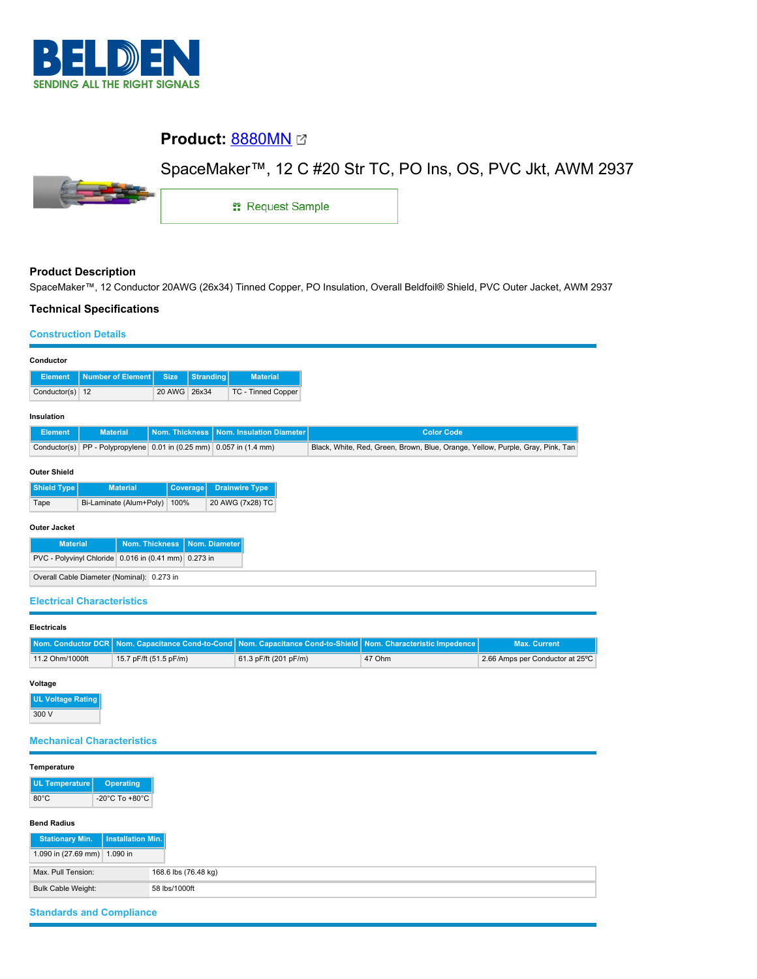

# **Product: [8880MN](https://catalog.belden.com/index.cfm?event=pd&p=PF_8880MN&tab=downloads) @**



SpaceMaker™, 12 C #20 Str TC, PO Ins, OS, PVC Jkt, AWM 2937

1: Request Sample

# **Product Description**

SpaceMaker™, 12 Conductor 20AWG (26x34) Tinned Copper, PO Insulation, Overall Beldfoil® Shield, PVC Outer Jacket, AWM 2937

# **Technical Specifications**

#### **Construction Details**

| Conductor                                                 |                                                        |                       |           |                          |                                                                                |  |  |  |
|-----------------------------------------------------------|--------------------------------------------------------|-----------------------|-----------|--------------------------|--------------------------------------------------------------------------------|--|--|--|
| <b>Element</b>                                            | <b>Number of Element</b>                               | <b>Size</b>           | Stranding | <b>Material</b>          |                                                                                |  |  |  |
| Conductor(s) $12$                                         |                                                        | 20 AWG                | 26x34     | TC - Tinned Copper       |                                                                                |  |  |  |
| Insulation                                                |                                                        |                       |           |                          |                                                                                |  |  |  |
| <b>Element</b>                                            | <b>Material</b>                                        | <b>Nom. Thickness</b> |           | Nom. Insulation Diameter | <b>Color Code</b>                                                              |  |  |  |
| Conductor(s)                                              | PP - Polypropylene 0.01 in (0.25 mm) 0.057 in (1.4 mm) |                       |           |                          | Black, White, Red, Green, Brown, Blue, Orange, Yellow, Purple, Gray, Pink, Tan |  |  |  |
| <b>Outer Shield</b>                                       |                                                        |                       |           |                          |                                                                                |  |  |  |
| <b>Shield Type</b>                                        | <b>Material</b>                                        | <b>Coverage</b>       |           | <b>Drainwire Type</b>    |                                                                                |  |  |  |
| Tape                                                      | Bi-Laminate (Alum+Poly)                                | 100%                  |           | 20 AWG (7x28) TC         |                                                                                |  |  |  |
| <b>Outer Jacket</b>                                       |                                                        |                       |           |                          |                                                                                |  |  |  |
| <b>Nom. Thickness</b><br>Nom. Diameter<br><b>Material</b> |                                                        |                       |           |                          |                                                                                |  |  |  |
| PVC - Polyvinyl Chloride 0.016 in (0.41 mm) 0.273 in      |                                                        |                       |           |                          |                                                                                |  |  |  |
| Overall Cable Diameter (Nominal): 0.273 in                |                                                        |                       |           |                          |                                                                                |  |  |  |
|                                                           |                                                        |                       |           |                          |                                                                                |  |  |  |

### **Electrical Characteristics**

| <b>Electricals</b> |                        |                                                                                                                |        |                                 |
|--------------------|------------------------|----------------------------------------------------------------------------------------------------------------|--------|---------------------------------|
|                    |                        | Nom. Conductor DCR Nom. Capacitance Cond-to-Cond Nom. Capacitance Cond-to-Shield Nom. Characteristic Impedence |        | <b>Max. Current</b>             |
| 11.2 Ohm/1000ft    | 15.7 pF/ft (51.5 pF/m) | 61.3 pF/ft (201 pF/m)                                                                                          | 47 Ohm | 2.66 Amps per Conductor at 25°C |

## **Voltage**

**UL Voltage Rating** 300 V

# **Mechanical Characteristics**

| Temperature                                |                          |
|--------------------------------------------|--------------------------|
| UL Temperature                             | <b>Operating</b>         |
| $80^{\circ}$ C                             | -20°C To +80°C           |
| <b>Bend Radius</b>                         |                          |
| <b>Stationary Min.</b>                     | <b>Installation Min.</b> |
| 1.090 in (27.69 mm)                        | 1.090 in                 |
| Max. Pull Tension:                         | 168.6 lbs (76.48 kg)     |
| <b>Bulk Cable Weight:</b><br>58 lbs/1000ft |                          |

# **Standards and Compliance**